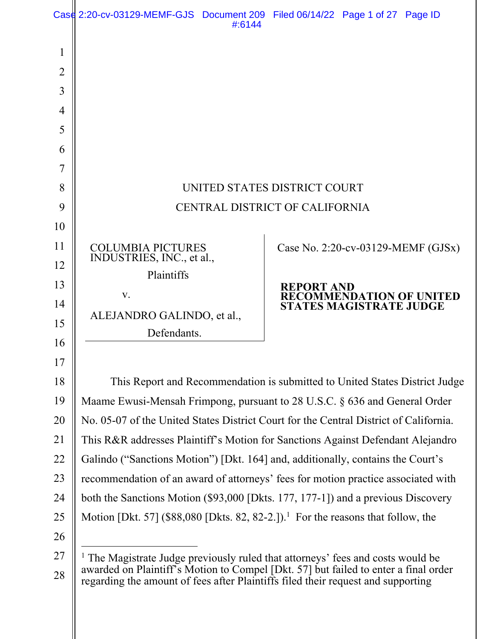|                | Case 2:20-cv-03129-MEMF-GJS Document 209 Filed 06/14/22 Page 1 of 27 Page ID                                                                                                      | #:6144 |                                    |                                                                   |  |  |
|----------------|-----------------------------------------------------------------------------------------------------------------------------------------------------------------------------------|--------|------------------------------------|-------------------------------------------------------------------|--|--|
| 1              |                                                                                                                                                                                   |        |                                    |                                                                   |  |  |
| $\overline{2}$ |                                                                                                                                                                                   |        |                                    |                                                                   |  |  |
| 3              |                                                                                                                                                                                   |        |                                    |                                                                   |  |  |
| 4              |                                                                                                                                                                                   |        |                                    |                                                                   |  |  |
| 5              |                                                                                                                                                                                   |        |                                    |                                                                   |  |  |
| 6              |                                                                                                                                                                                   |        |                                    |                                                                   |  |  |
| 7              |                                                                                                                                                                                   |        |                                    |                                                                   |  |  |
| 8              | UNITED STATES DISTRICT COURT                                                                                                                                                      |        |                                    |                                                                   |  |  |
| 9              | CENTRAL DISTRICT OF CALIFORNIA                                                                                                                                                    |        |                                    |                                                                   |  |  |
| 10             |                                                                                                                                                                                   |        |                                    |                                                                   |  |  |
| 11             | <b>COLUMBIA PICTURES</b>                                                                                                                                                          |        | Case No. 2:20-cv-03129-MEMF (GJSx) |                                                                   |  |  |
| 12             | INDUSTRIES, INC., et al.,<br>Plaintiffs                                                                                                                                           |        |                                    |                                                                   |  |  |
| 13             | V.                                                                                                                                                                                |        | <b>REPORT AND</b>                  |                                                                   |  |  |
| 14             |                                                                                                                                                                                   |        |                                    | <b>RECOMMENDATION OF UNITED</b><br><b>STATES MAGISTRATE JUDGE</b> |  |  |
| 15             | ALEJANDRO GALINDO, et al.,<br>Defendants.                                                                                                                                         |        |                                    |                                                                   |  |  |
| 16             |                                                                                                                                                                                   |        |                                    |                                                                   |  |  |
| 17             |                                                                                                                                                                                   |        |                                    |                                                                   |  |  |
| 18             | This Report and Recommendation is submitted to United States District Judge                                                                                                       |        |                                    |                                                                   |  |  |
| 19             | Maame Ewusi-Mensah Frimpong, pursuant to 28 U.S.C. § 636 and General Order                                                                                                        |        |                                    |                                                                   |  |  |
| 20             | No. 05-07 of the United States District Court for the Central District of California.                                                                                             |        |                                    |                                                                   |  |  |
| 21             | This R&R addresses Plaintiff's Motion for Sanctions Against Defendant Alejandro                                                                                                   |        |                                    |                                                                   |  |  |
| 22             | Galindo ("Sanctions Motion") [Dkt. 164] and, additionally, contains the Court's                                                                                                   |        |                                    |                                                                   |  |  |
| 23             | recommendation of an award of attorneys' fees for motion practice associated with                                                                                                 |        |                                    |                                                                   |  |  |
| 24             | both the Sanctions Motion (\$93,000 [Dkts. 177, 177-1]) and a previous Discovery                                                                                                  |        |                                    |                                                                   |  |  |
| 25             | Motion [Dkt. 57] (\$88,080 [Dkts. 82, 82-2.]). <sup>1</sup> For the reasons that follow, the                                                                                      |        |                                    |                                                                   |  |  |
| 26             |                                                                                                                                                                                   |        |                                    |                                                                   |  |  |
| 27             | <sup>1</sup> The Magistrate Judge previously ruled that attorneys' fees and costs would be<br>awarded on Plaintiff's Motion to Compel [Dkt. 57] but failed to enter a final order |        |                                    |                                                                   |  |  |
| 28             | regarding the amount of fees after Plaintiffs filed their request and supporting                                                                                                  |        |                                    |                                                                   |  |  |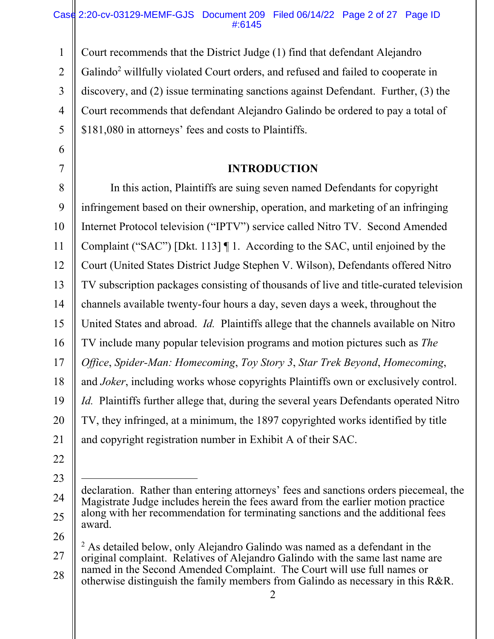## Case 2:20-cv-03129-MEMF-GJS Document 209 Filed 06/14/22 Page 2 of 27 Page ID #:6145

1 2 3 4 5 Court recommends that the District Judge (1) find that defendant Alejandro Galindo<sup>2</sup> willfully violated Court orders, and refused and failed to cooperate in discovery, and (2) issue terminating sanctions against Defendant. Further, (3) the Court recommends that defendant Alejandro Galindo be ordered to pay a total of \$181,080 in attorneys' fees and costs to Plaintiffs.

## **INTRODUCTION**

8 9 10 11 12 13 14 15 16 17 18 19 20 21 In this action, Plaintiffs are suing seven named Defendants for copyright infringement based on their ownership, operation, and marketing of an infringing Internet Protocol television ("IPTV") service called Nitro TV. Second Amended Complaint ("SAC") [Dkt. 113] ¶ 1. According to the SAC, until enjoined by the Court (United States District Judge Stephen V. Wilson), Defendants offered Nitro TV subscription packages consisting of thousands of live and title-curated television channels available twenty-four hours a day, seven days a week, throughout the United States and abroad. *Id.* Plaintiffs allege that the channels available on Nitro TV include many popular television programs and motion pictures such as *The Office*, *Spider-Man: Homecoming*, *Toy Story 3*, *Star Trek Beyond*, *Homecoming*, and *Joker*, including works whose copyrights Plaintiffs own or exclusively control. *Id.* Plaintiffs further allege that, during the several years Defendants operated Nitro TV, they infringed, at a minimum, the 1897 copyrighted works identified by title and copyright registration number in Exhibit A of their SAC.

22

6

- 23
- 25

<sup>26</sup> 

<sup>24</sup>  declaration. Rather than entering attorneys' fees and sanctions orders piecemeal, the Magistrate Judge includes herein the fees award from the earlier motion practice along with her recommendation for terminating sanctions and the additional fees award.

<sup>27</sup>  28  $2$  As detailed below, only Alejandro Galindo was named as a defendant in the original complaint. Relatives of Alejandro Galindo with the same last name are named in the Second Amended Complaint. The Court will use full names or otherwise distinguish the family members from Galindo as necessary in this R&R.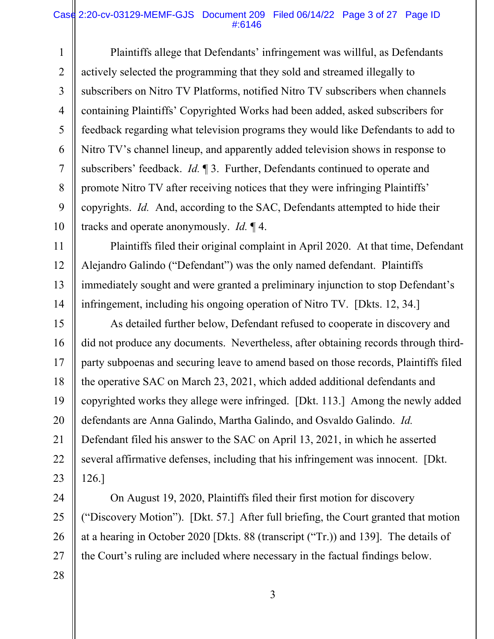#### Case 2:20-cv-03129-MEMF-GJS Document 209 Filed 06/14/22 Page 3 of 27 Page ID #:6146

1 2 3 4 5 6 7 8 9 10 Plaintiffs allege that Defendants' infringement was willful, as Defendants actively selected the programming that they sold and streamed illegally to subscribers on Nitro TV Platforms, notified Nitro TV subscribers when channels containing Plaintiffs' Copyrighted Works had been added, asked subscribers for feedback regarding what television programs they would like Defendants to add to Nitro TV's channel lineup, and apparently added television shows in response to subscribers' feedback. *Id.* ¶ 3. Further, Defendants continued to operate and promote Nitro TV after receiving notices that they were infringing Plaintiffs' copyrights. *Id.* And, according to the SAC, Defendants attempted to hide their tracks and operate anonymously. *Id.* ¶ 4.

 Plaintiffs filed their original complaint in April 2020. At that time, Defendant Alejandro Galindo ("Defendant") was the only named defendant. Plaintiffs immediately sought and were granted a preliminary injunction to stop Defendant's infringement, including his ongoing operation of Nitro TV. [Dkts. 12, 34.]

11

12

13

14

15 16 17 18 19 20 21 22 23 As detailed further below, Defendant refused to cooperate in discovery and did not produce any documents. Nevertheless, after obtaining records through thirdparty subpoenas and securing leave to amend based on those records, Plaintiffs filed the operative SAC on March 23, 2021, which added additional defendants and copyrighted works they allege were infringed. [Dkt. 113.] Among the newly added defendants are Anna Galindo, Martha Galindo, and Osvaldo Galindo. *Id.*  Defendant filed his answer to the SAC on April 13, 2021, in which he asserted several affirmative defenses, including that his infringement was innocent. [Dkt. 126.]

24 25 26 27 28 On August 19, 2020, Plaintiffs filed their first motion for discovery ("Discovery Motion"). [Dkt. 57.] After full briefing, the Court granted that motion at a hearing in October 2020 [Dkts. 88 (transcript ("Tr.)) and 139]. The details of the Court's ruling are included where necessary in the factual findings below.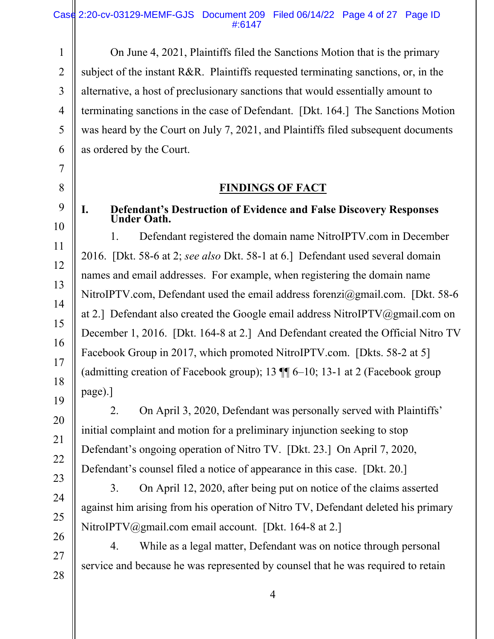1 2 3 On June 4, 2021, Plaintiffs filed the Sanctions Motion that is the primary subject of the instant R&R. Plaintiffs requested terminating sanctions, or, in the alternative, a host of preclusionary sanctions that would essentially amount to terminating sanctions in the case of Defendant. [Dkt. 164.] The Sanctions Motion was heard by the Court on July 7, 2021, and Plaintiffs filed subsequent documents as ordered by the Court.

## **FINDINGS OF FACT**

## **I. Defendant's Destruction of Evidence and False Discovery Responses Under Oath.**

1. Defendant registered the domain name NitroIPTV.com in December 2016. [Dkt. 58-6 at 2; *see also* Dkt. 58-1 at 6.] Defendant used several domain names and email addresses. For example, when registering the domain name NitroIPTV.com, Defendant used the email address forenzi@gmail.com. [Dkt. 58-6 at 2.] Defendant also created the Google email address NitroIPTV@gmail.com on December 1, 2016. [Dkt. 164-8 at 2.] And Defendant created the Official Nitro TV Facebook Group in 2017, which promoted NitroIPTV.com. [Dkts. 58-2 at 5] (admitting creation of Facebook group); 13  $\P$  6–10; 13-1 at 2 (Facebook group page).]

2. On April 3, 2020, Defendant was personally served with Plaintiffs' initial complaint and motion for a preliminary injunction seeking to stop Defendant's ongoing operation of Nitro TV. [Dkt. 23.] On April 7, 2020, Defendant's counsel filed a notice of appearance in this case. [Dkt. 20.]

3. On April 12, 2020, after being put on notice of the claims asserted against him arising from his operation of Nitro TV, Defendant deleted his primary NitroIPTV@gmail.com email account. [Dkt. 164-8 at 2.]

4. While as a legal matter, Defendant was on notice through personal service and because he was represented by counsel that he was required to retain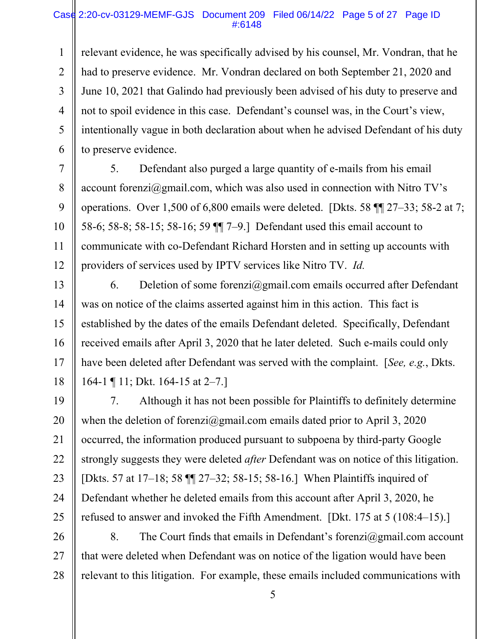#### Case 2:20-cv-03129-MEMF-GJS Document 209 Filed 06/14/22 Page 5 of 27 Page ID #:6148

1 2 3 4 5 6 relevant evidence, he was specifically advised by his counsel, Mr. Vondran, that he had to preserve evidence. Mr. Vondran declared on both September 21, 2020 and June 10, 2021 that Galindo had previously been advised of his duty to preserve and not to spoil evidence in this case. Defendant's counsel was, in the Court's view, intentionally vague in both declaration about when he advised Defendant of his duty to preserve evidence.

7 8 9 10 11 12 5. Defendant also purged a large quantity of e-mails from his email account forenzi $@g$ mail.com, which was also used in connection with Nitro TV's operations. Over 1,500 of 6,800 emails were deleted. [Dkts. 58 ¶¶ 27–33; 58-2 at 7; 58-6; 58-8; 58-15; 58-16; 59 ¶¶ 7–9.] Defendant used this email account to communicate with co-Defendant Richard Horsten and in setting up accounts with providers of services used by IPTV services like Nitro TV. *Id.*

13 14 15 16 17 18 6. Deletion of some forenzi $\omega$ gmail.com emails occurred after Defendant was on notice of the claims asserted against him in this action. This fact is established by the dates of the emails Defendant deleted. Specifically, Defendant received emails after April 3, 2020 that he later deleted. Such e-mails could only have been deleted after Defendant was served with the complaint. [*See, e.g.*, Dkts. 164-1 ¶ 11; Dkt. 164-15 at 2–7.]

19 20 21 22 23 24 25 7. Although it has not been possible for Plaintiffs to definitely determine when the deletion of forenzi@gmail.com emails dated prior to April 3, 2020 occurred, the information produced pursuant to subpoena by third-party Google strongly suggests they were deleted *after* Defendant was on notice of this litigation. [Dkts. 57 at 17–18; 58 ¶¶ 27–32; 58-15; 58-16.] When Plaintiffs inquired of Defendant whether he deleted emails from this account after April 3, 2020, he refused to answer and invoked the Fifth Amendment. [Dkt. 175 at 5 (108:4–15).]

26 27 28 8. The Court finds that emails in Defendant's forenzi $\omega$ gmail.com account that were deleted when Defendant was on notice of the ligation would have been relevant to this litigation. For example, these emails included communications with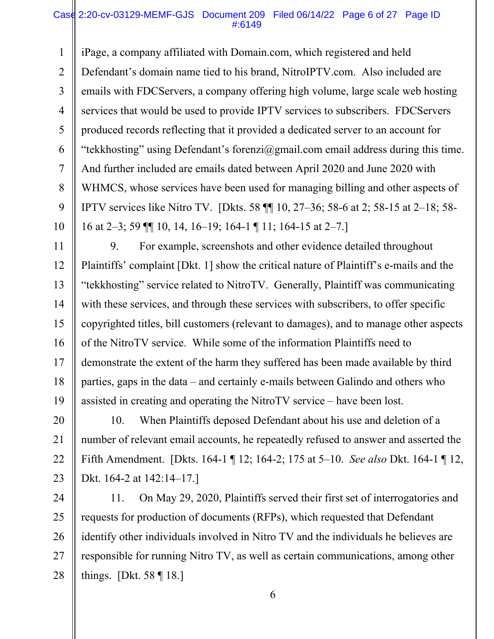#### Case 2:20-cv-03129-MEMF-GJS Document 209 Filed 06/14/22 Page 6 of 27 Page ID #:6149

1 2 3 4 5 6 7 8 9 10 iPage, a company affiliated with Domain.com, which registered and held Defendant's domain name tied to his brand, NitroIPTV.com. Also included are emails with FDCServers, a company offering high volume, large scale web hosting services that would be used to provide IPTV services to subscribers. FDCServers produced records reflecting that it provided a dedicated server to an account for "tekkhosting" using Defendant's forenzi@gmail.com email address during this time. And further included are emails dated between April 2020 and June 2020 with WHMCS, whose services have been used for managing billing and other aspects of IPTV services like Nitro TV. [Dkts. 58 ¶¶ 10, 27–36; 58-6 at 2; 58-15 at 2–18; 58- 16 at 2–3; 59 ¶¶ 10, 14, 16–19; 164-1 ¶ 11; 164-15 at 2–7.]

11 12 13 14 15 16 17 18 19 9. For example, screenshots and other evidence detailed throughout Plaintiffs' complaint [Dkt. 1] show the critical nature of Plaintiff's e-mails and the "tekkhosting" service related to NitroTV. Generally, Plaintiff was communicating with these services, and through these services with subscribers, to offer specific copyrighted titles, bill customers (relevant to damages), and to manage other aspects of the NitroTV service. While some of the information Plaintiffs need to demonstrate the extent of the harm they suffered has been made available by third parties, gaps in the data – and certainly e-mails between Galindo and others who assisted in creating and operating the NitroTV service – have been lost.

20 21 22 23 10. When Plaintiffs deposed Defendant about his use and deletion of a number of relevant email accounts, he repeatedly refused to answer and asserted the Fifth Amendment. [Dkts. 164-1 ¶ 12; 164-2; 175 at 5–10. *See also* Dkt. 164-1 ¶ 12, Dkt. 164-2 at 142:14–17.]

24 25 26 27 28 11. On May 29, 2020, Plaintiffs served their first set of interrogatories and requests for production of documents (RFPs), which requested that Defendant identify other individuals involved in Nitro TV and the individuals he believes are responsible for running Nitro TV, as well as certain communications, among other things. [Dkt. 58 ¶ 18.]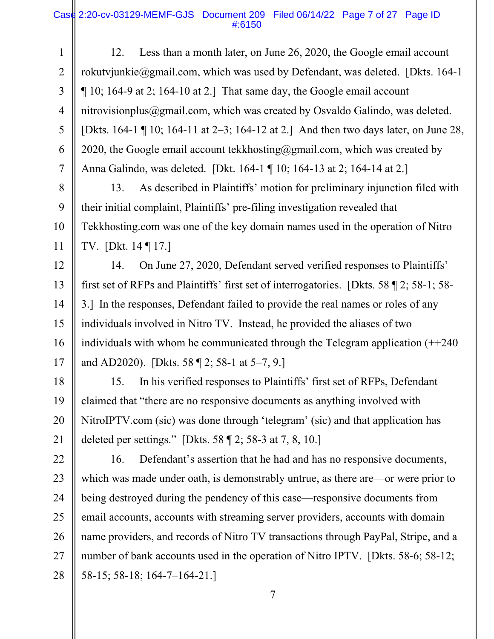### Case 2:20-cv-03129-MEMF-GJS Document 209 Filed 06/14/22 Page 7 of 27 Page ID #:6150

1 2 3 4 5 6 7 12. Less than a month later, on June 26, 2020, the Google email account rokutvjunkie@gmail.com, which was used by Defendant, was deleted. [Dkts. 164-1  $\P$  10; 164-9 at 2; 164-10 at 2.] That same day, the Google email account nitrovisionplus@gmail.com, which was created by Osvaldo Galindo, was deleted. [Dkts. 164-1 ¶ 10; 164-11 at 2–3; 164-12 at 2.] And then two days later, on June 28, 2020, the Google email account tekkhosting@gmail.com, which was created by Anna Galindo, was deleted. [Dkt. 164-1 ¶ 10; 164-13 at 2; 164-14 at 2.]

8 9 10 11 13. As described in Plaintiffs' motion for preliminary injunction filed with their initial complaint, Plaintiffs' pre-filing investigation revealed that Tekkhosting.com was one of the key domain names used in the operation of Nitro TV. [Dkt. 14 ¶ 17.]

12 13 14 15 16 17 14. On June 27, 2020, Defendant served verified responses to Plaintiffs' first set of RFPs and Plaintiffs' first set of interrogatories. [Dkts. 58 ¶ 2; 58-1; 58- 3.] In the responses, Defendant failed to provide the real names or roles of any individuals involved in Nitro TV. Instead, he provided the aliases of two individuals with whom he communicated through the Telegram application  $(+240)$ and AD2020). [Dkts. 58 ¶ 2; 58-1 at 5–7, 9.]

18 19 20 21 15. In his verified responses to Plaintiffs' first set of RFPs, Defendant claimed that "there are no responsive documents as anything involved with NitroIPTV.com (sic) was done through 'telegram' (sic) and that application has deleted per settings." [Dkts. 58 ¶ 2; 58-3 at 7, 8, 10.]

22 23 24 25 26 27 28 16. Defendant's assertion that he had and has no responsive documents, which was made under oath, is demonstrably untrue, as there are—or were prior to being destroyed during the pendency of this case—responsive documents from email accounts, accounts with streaming server providers, accounts with domain name providers, and records of Nitro TV transactions through PayPal, Stripe, and a number of bank accounts used in the operation of Nitro IPTV. [Dkts. 58-6; 58-12; 58-15; 58-18; 164-7–164-21.]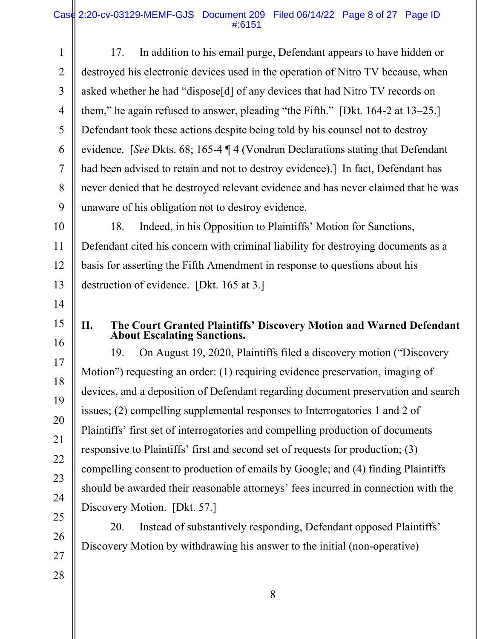## Case 2:20-cv-03129-MEMF-GJS Document 209 Filed 06/14/22 Page 8 of 27 Page ID #:6151

1 2 3 4 5 6 7 8 9 17. In addition to his email purge, Defendant appears to have hidden or destroyed his electronic devices used in the operation of Nitro TV because, when asked whether he had "dispose[d] of any devices that had Nitro TV records on them," he again refused to answer, pleading "the Fifth." [Dkt. 164-2 at 13–25.] Defendant took these actions despite being told by his counsel not to destroy evidence. [*See* Dkts. 68; 165-4 ¶ 4 (Vondran Declarations stating that Defendant had been advised to retain and not to destroy evidence).] In fact, Defendant has never denied that he destroyed relevant evidence and has never claimed that he was unaware of his obligation not to destroy evidence.

10 11 12 13 18. Indeed, in his Opposition to Plaintiffs' Motion for Sanctions, Defendant cited his concern with criminal liability for destroying documents as a basis for asserting the Fifth Amendment in response to questions about his destruction of evidence. [Dkt. 165 at 3.]

- 14
- 15 16

17

18

19

20

21

22

23

24

25

26

# **II. The Court Granted Plaintiffs' Discovery Motion and Warned Defendant About Escalating Sanctions.**

19. On August 19, 2020, Plaintiffs filed a discovery motion ("Discovery Motion") requesting an order: (1) requiring evidence preservation, imaging of devices, and a deposition of Defendant regarding document preservation and search issues; (2) compelling supplemental responses to Interrogatories 1 and 2 of Plaintiffs' first set of interrogatories and compelling production of documents responsive to Plaintiffs' first and second set of requests for production; (3) compelling consent to production of emails by Google; and (4) finding Plaintiffs should be awarded their reasonable attorneys' fees incurred in connection with the Discovery Motion. [Dkt. 57.]

20. Instead of substantively responding, Defendant opposed Plaintiffs' Discovery Motion by withdrawing his answer to the initial (non-operative)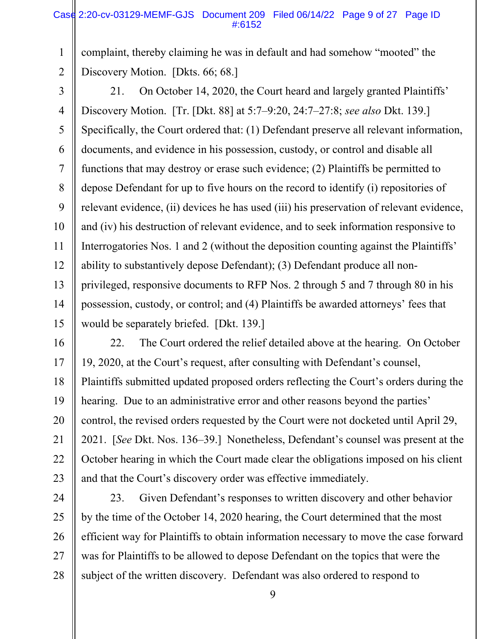### Case 2:20-cv-03129-MEMF-GJS Document 209 Filed 06/14/22 Page 9 of 27 Page ID #:6152

1 2 complaint, thereby claiming he was in default and had somehow "mooted" the Discovery Motion. [Dkts. 66; 68.]

3

4 5 6 7 8 9 10 11 12 13 14 15 21. On October 14, 2020, the Court heard and largely granted Plaintiffs' Discovery Motion. [Tr. [Dkt. 88] at 5:7–9:20, 24:7–27:8; *see also* Dkt. 139.] Specifically, the Court ordered that: (1) Defendant preserve all relevant information, documents, and evidence in his possession, custody, or control and disable all functions that may destroy or erase such evidence; (2) Plaintiffs be permitted to depose Defendant for up to five hours on the record to identify (i) repositories of relevant evidence, (ii) devices he has used (iii) his preservation of relevant evidence, and (iv) his destruction of relevant evidence, and to seek information responsive to Interrogatories Nos. 1 and 2 (without the deposition counting against the Plaintiffs' ability to substantively depose Defendant); (3) Defendant produce all nonprivileged, responsive documents to RFP Nos. 2 through 5 and 7 through 80 in his possession, custody, or control; and (4) Plaintiffs be awarded attorneys' fees that would be separately briefed. [Dkt. 139.]

16 17 18 19 20 21 22 23 22. The Court ordered the relief detailed above at the hearing. On October 19, 2020, at the Court's request, after consulting with Defendant's counsel, Plaintiffs submitted updated proposed orders reflecting the Court's orders during the hearing. Due to an administrative error and other reasons beyond the parties' control, the revised orders requested by the Court were not docketed until April 29, 2021. [*See* Dkt. Nos. 136–39.] Nonetheless, Defendant's counsel was present at the October hearing in which the Court made clear the obligations imposed on his client and that the Court's discovery order was effective immediately.

24 25 26 27 28 23. Given Defendant's responses to written discovery and other behavior by the time of the October 14, 2020 hearing, the Court determined that the most efficient way for Plaintiffs to obtain information necessary to move the case forward was for Plaintiffs to be allowed to depose Defendant on the topics that were the subject of the written discovery. Defendant was also ordered to respond to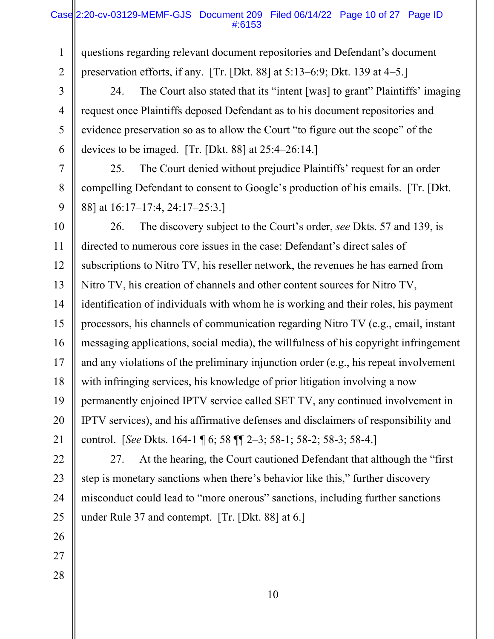1 2 questions regarding relevant document repositories and Defendant's document preservation efforts, if any. [Tr. [Dkt. 88] at 5:13–6:9; Dkt. 139 at 4–5.]

3 4 5 6 24. The Court also stated that its "intent [was] to grant" Plaintiffs' imaging request once Plaintiffs deposed Defendant as to his document repositories and evidence preservation so as to allow the Court "to figure out the scope" of the devices to be imaged. [Tr. [Dkt. 88] at 25:4–26:14.]

7 8 9 25. The Court denied without prejudice Plaintiffs' request for an order compelling Defendant to consent to Google's production of his emails. [Tr. [Dkt. 88] at 16:17–17:4, 24:17–25:3.]

10 11 12 13 14 15 16 17 18 19 20 21 26. The discovery subject to the Court's order, *see* Dkts. 57 and 139, is directed to numerous core issues in the case: Defendant's direct sales of subscriptions to Nitro TV, his reseller network, the revenues he has earned from Nitro TV, his creation of channels and other content sources for Nitro TV, identification of individuals with whom he is working and their roles, his payment processors, his channels of communication regarding Nitro TV (e.g., email, instant messaging applications, social media), the willfulness of his copyright infringement and any violations of the preliminary injunction order (e.g., his repeat involvement with infringing services, his knowledge of prior litigation involving a now permanently enjoined IPTV service called SET TV, any continued involvement in IPTV services), and his affirmative defenses and disclaimers of responsibility and control. [*See* Dkts. 164-1 ¶ 6; 58 ¶¶ 2–3; 58-1; 58-2; 58-3; 58-4.]

22 27. At the hearing, the Court cautioned Defendant that although the "first step is monetary sanctions when there's behavior like this," further discovery misconduct could lead to "more onerous" sanctions, including further sanctions under Rule 37 and contempt. [Tr. [Dkt. 88] at 6.]

- 23 24 25 26
- 27 28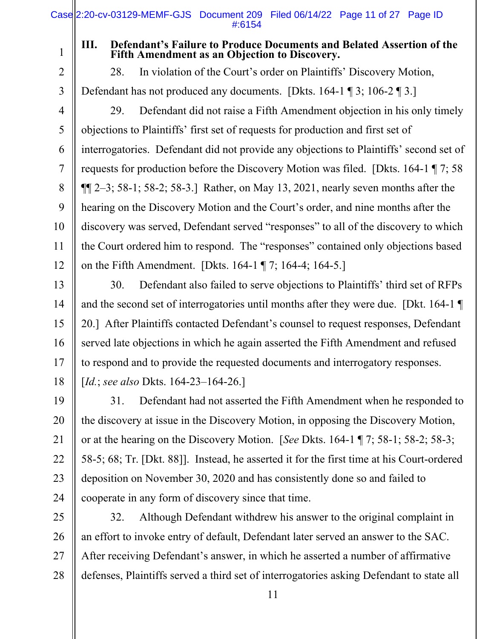1 2

3

## **III. Defendant's Failure to Produce Documents and Belated Assertion of the Fifth Amendment as an Objection to Discovery.**

28. In violation of the Court's order on Plaintiffs' Discovery Motion, Defendant has not produced any documents. [Dkts. 164-1 ¶ 3; 106-2 ¶ 3.]

4 5 6 7 8 9 10 11 12 29. Defendant did not raise a Fifth Amendment objection in his only timely objections to Plaintiffs' first set of requests for production and first set of interrogatories. Defendant did not provide any objections to Plaintiffs' second set of requests for production before the Discovery Motion was filed. [Dkts. 164-1 ¶ 7; 58  $\P$ [2–3; 58-1; 58-2; 58-3.] Rather, on May 13, 2021, nearly seven months after the hearing on the Discovery Motion and the Court's order, and nine months after the discovery was served, Defendant served "responses" to all of the discovery to which the Court ordered him to respond. The "responses" contained only objections based on the Fifth Amendment. [Dkts. 164-1 ¶ 7; 164-4; 164-5.]

13 14 15 16 17 18 30. Defendant also failed to serve objections to Plaintiffs' third set of RFPs and the second set of interrogatories until months after they were due. [Dkt. 164-1 ¶ 20.] After Plaintiffs contacted Defendant's counsel to request responses, Defendant served late objections in which he again asserted the Fifth Amendment and refused to respond and to provide the requested documents and interrogatory responses. [*Id.*; *see also* Dkts. 164-23–164-26.]

19 20 21 22 23 24 31. Defendant had not asserted the Fifth Amendment when he responded to the discovery at issue in the Discovery Motion, in opposing the Discovery Motion, or at the hearing on the Discovery Motion. [*See* Dkts. 164-1 ¶ 7; 58-1; 58-2; 58-3; 58-5; 68; Tr. [Dkt. 88]]. Instead, he asserted it for the first time at his Court-ordered deposition on November 30, 2020 and has consistently done so and failed to cooperate in any form of discovery since that time.

25 26 27 28 32. Although Defendant withdrew his answer to the original complaint in an effort to invoke entry of default, Defendant later served an answer to the SAC. After receiving Defendant's answer, in which he asserted a number of affirmative defenses, Plaintiffs served a third set of interrogatories asking Defendant to state all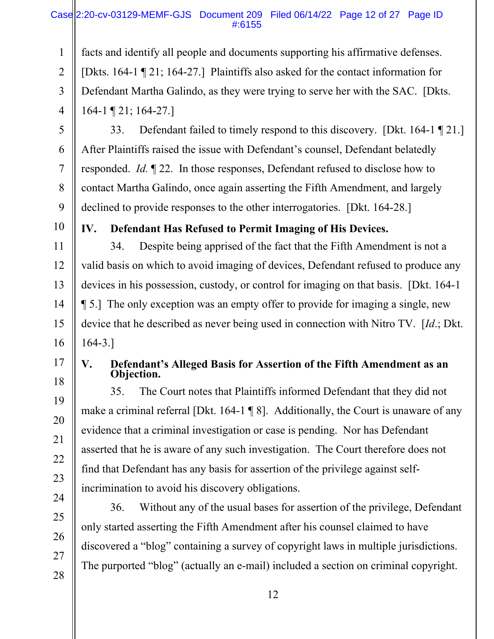## Case 2:20-cv-03129-MEMF-GJS Document 209 Filed 06/14/22 Page 12 of 27 Page ID #:6155

1 2 3 4 facts and identify all people and documents supporting his affirmative defenses. [Dkts. 164-1 ¶ 21; 164-27.] Plaintiffs also asked for the contact information for Defendant Martha Galindo, as they were trying to serve her with the SAC. [Dkts. 164-1 ¶ 21; 164-27.]

5

6

7

8

9

33. Defendant failed to timely respond to this discovery. [Dkt. 164-1 ¶ 21.] After Plaintiffs raised the issue with Defendant's counsel, Defendant belatedly responded. *Id.* ¶ 22. In those responses, Defendant refused to disclose how to contact Martha Galindo, once again asserting the Fifth Amendment, and largely declined to provide responses to the other interrogatories. [Dkt. 164-28.]

10

## **IV. Defendant Has Refused to Permit Imaging of His Devices.**

11 12 13 14 15 16 34. Despite being apprised of the fact that the Fifth Amendment is not a valid basis on which to avoid imaging of devices, Defendant refused to produce any devices in his possession, custody, or control for imaging on that basis. [Dkt. 164-1 ¶ 5.] The only exception was an empty offer to provide for imaging a single, new device that he described as never being used in connection with Nitro TV. [*Id*.; Dkt. 164-3.]

## 17

18

19

20

21

22

23

24

25

26

27

28

## **V. Defendant's Alleged Basis for Assertion of the Fifth Amendment as an Objection.**

35. The Court notes that Plaintiffs informed Defendant that they did not make a criminal referral [Dkt. 164-1 ¶ 8]. Additionally, the Court is unaware of any evidence that a criminal investigation or case is pending. Nor has Defendant asserted that he is aware of any such investigation. The Court therefore does not find that Defendant has any basis for assertion of the privilege against selfincrimination to avoid his discovery obligations.

36. Without any of the usual bases for assertion of the privilege, Defendant only started asserting the Fifth Amendment after his counsel claimed to have discovered a "blog" containing a survey of copyright laws in multiple jurisdictions. The purported "blog" (actually an e-mail) included a section on criminal copyright.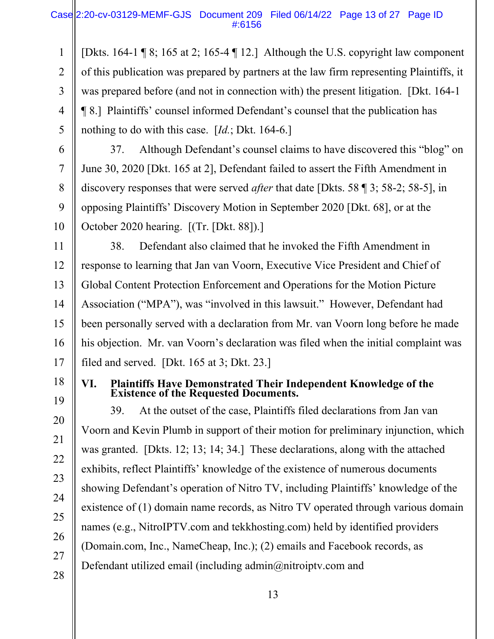1 2 3 4 5 [Dkts. 164-1 ¶ 8; 165 at 2; 165-4 ¶ 12.] Although the U.S. copyright law component of this publication was prepared by partners at the law firm representing Plaintiffs, it was prepared before (and not in connection with) the present litigation. [Dkt. 164-1 ¶ 8.] Plaintiffs' counsel informed Defendant's counsel that the publication has nothing to do with this case. [*Id.*; Dkt. 164-6.]

6

7

8

9

10

37. Although Defendant's counsel claims to have discovered this "blog" on June 30, 2020 [Dkt. 165 at 2], Defendant failed to assert the Fifth Amendment in discovery responses that were served *after* that date [Dkts. 58 ¶ 3; 58-2; 58-5], in opposing Plaintiffs' Discovery Motion in September 2020 [Dkt. 68], or at the October 2020 hearing. [(Tr. [Dkt. 88]).]

11 12 13 14 15 38. Defendant also claimed that he invoked the Fifth Amendment in response to learning that Jan van Voorn, Executive Vice President and Chief of Global Content Protection Enforcement and Operations for the Motion Picture Association ("MPA"), was "involved in this lawsuit." However, Defendant had been personally served with a declaration from Mr. van Voorn long before he made his objection. Mr. van Voorn's declaration was filed when the initial complaint was filed and served. [Dkt. 165 at 3; Dkt. 23.]

**VI. Plaintiffs Have Demonstrated Their Independent Knowledge of the Existence of the Requested Documents.** 

39. At the outset of the case, Plaintiffs filed declarations from Jan van Voorn and Kevin Plumb in support of their motion for preliminary injunction, which was granted. [Dkts. 12; 13; 14; 34.] These declarations, along with the attached exhibits, reflect Plaintiffs' knowledge of the existence of numerous documents showing Defendant's operation of Nitro TV, including Plaintiffs' knowledge of the existence of (1) domain name records, as Nitro TV operated through various domain names (e.g., NitroIPTV.com and tekkhosting.com) held by identified providers (Domain.com, Inc., NameCheap, Inc.); (2) emails and Facebook records, as Defendant utilized email (including admin@nitroiptv.com and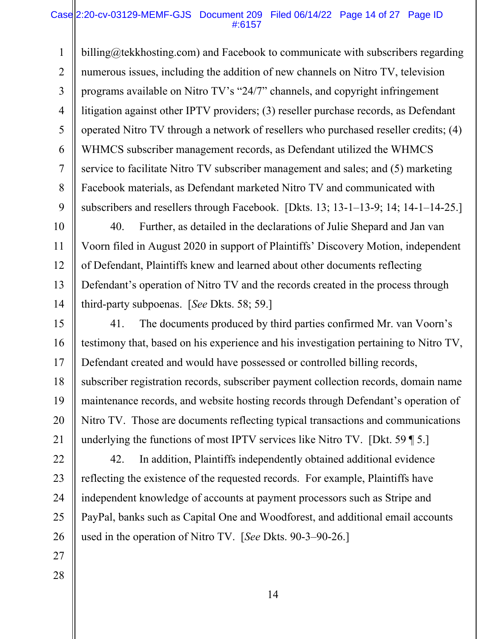### Case 2:20-cv-03129-MEMF-GJS Document 209 Filed 06/14/22 Page 14 of 27 Page ID #:6157

1 2 3 4 5 6 7 8 9 billing@tekkhosting.com) and Facebook to communicate with subscribers regarding numerous issues, including the addition of new channels on Nitro TV, television programs available on Nitro TV's "24/7" channels, and copyright infringement litigation against other IPTV providers; (3) reseller purchase records, as Defendant operated Nitro TV through a network of resellers who purchased reseller credits; (4) WHMCS subscriber management records, as Defendant utilized the WHMCS service to facilitate Nitro TV subscriber management and sales; and (5) marketing Facebook materials, as Defendant marketed Nitro TV and communicated with subscribers and resellers through Facebook. [Dkts. 13; 13-1–13-9; 14; 14-1–14-25.]

10 11 12 13 14 40. Further, as detailed in the declarations of Julie Shepard and Jan van Voorn filed in August 2020 in support of Plaintiffs' Discovery Motion, independent of Defendant, Plaintiffs knew and learned about other documents reflecting Defendant's operation of Nitro TV and the records created in the process through third-party subpoenas. [*See* Dkts. 58; 59.]

15 16 17 18 19 20 21 41. The documents produced by third parties confirmed Mr. van Voorn's testimony that, based on his experience and his investigation pertaining to Nitro TV, Defendant created and would have possessed or controlled billing records, subscriber registration records, subscriber payment collection records, domain name maintenance records, and website hosting records through Defendant's operation of Nitro TV. Those are documents reflecting typical transactions and communications underlying the functions of most IPTV services like Nitro TV. [Dkt. 59 ¶ 5.]

22 23 24 25 26 42. In addition, Plaintiffs independently obtained additional evidence reflecting the existence of the requested records. For example, Plaintiffs have independent knowledge of accounts at payment processors such as Stripe and PayPal, banks such as Capital One and Woodforest, and additional email accounts used in the operation of Nitro TV. [*See* Dkts. 90-3–90-26.]

- 27
- 28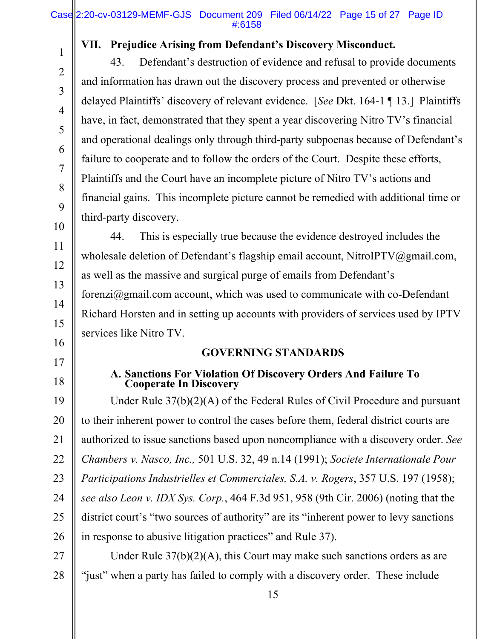## **VII. Prejudice Arising from Defendant's Discovery Misconduct.**

43. Defendant's destruction of evidence and refusal to provide documents and information has drawn out the discovery process and prevented or otherwise delayed Plaintiffs' discovery of relevant evidence. [*See* Dkt. 164-1 ¶ 13.] Plaintiffs have, in fact, demonstrated that they spent a year discovering Nitro TV's financial and operational dealings only through third-party subpoenas because of Defendant's failure to cooperate and to follow the orders of the Court. Despite these efforts, Plaintiffs and the Court have an incomplete picture of Nitro TV's actions and financial gains. This incomplete picture cannot be remedied with additional time or third-party discovery.

44. This is especially true because the evidence destroyed includes the wholesale deletion of Defendant's flagship email account, NitroIPTV@gmail.com, as well as the massive and surgical purge of emails from Defendant's forenzi $@g$ gmail.com account, which was used to communicate with co-Defendant Richard Horsten and in setting up accounts with providers of services used by IPTV services like Nitro TV.

## **GOVERNING STANDARDS**

# **A. Sanctions For Violation Of Discovery Orders And Failure To Cooperate In Discovery**

24 25 26 Under Rule 37(b)(2)(A) of the Federal Rules of Civil Procedure and pursuant to their inherent power to control the cases before them, federal district courts are authorized to issue sanctions based upon noncompliance with a discovery order. *See Chambers v. Nasco, Inc.,* 501 U.S. 32, 49 n.14 (1991); *Societe Internationale Pour Participations Industrielles et Commerciales, S.A. v. Rogers*, 357 U.S. 197 (1958); *see also Leon v. IDX Sys. Corp.*, 464 F.3d 951, 958 (9th Cir. 2006) (noting that the district court's "two sources of authority" are its "inherent power to levy sanctions in response to abusive litigation practices" and Rule 37).

27 28 Under Rule 37(b)(2)(A), this Court may make such sanctions orders as are "just" when a party has failed to comply with a discovery order. These include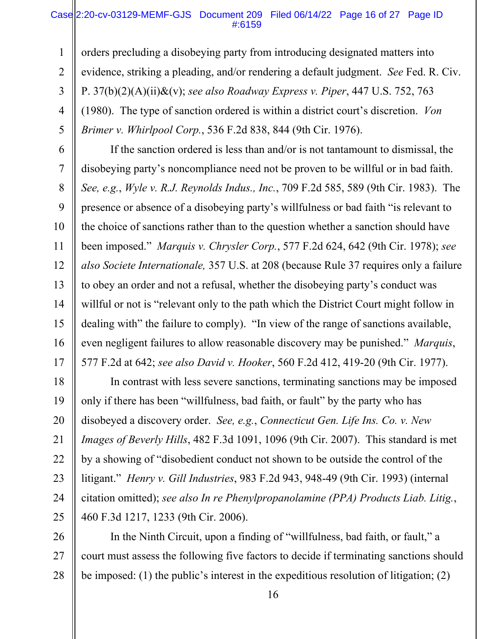#### Case 2:20-cv-03129-MEMF-GJS Document 209 Filed 06/14/22 Page 16 of 27 Page ID #:6159

1 2 3 4 5 orders precluding a disobeying party from introducing designated matters into evidence, striking a pleading, and/or rendering a default judgment. *See* Fed. R. Civ. P. 37(b)(2)(A)(ii)&(v); *see also Roadway Express v. Piper*, 447 U.S. 752, 763 (1980). The type of sanction ordered is within a district court's discretion. *Von Brimer v. Whirlpool Corp.*, 536 F.2d 838, 844 (9th Cir. 1976).

6 7 8 9 10 11 12 13 14 15 16 17 If the sanction ordered is less than and/or is not tantamount to dismissal, the disobeying party's noncompliance need not be proven to be willful or in bad faith. *See, e.g.*, *Wyle v. R.J. Reynolds Indus., Inc.*, 709 F.2d 585, 589 (9th Cir. 1983). The presence or absence of a disobeying party's willfulness or bad faith "is relevant to the choice of sanctions rather than to the question whether a sanction should have been imposed." *Marquis v. Chrysler Corp.*, 577 F.2d 624, 642 (9th Cir. 1978); *see also Societe Internationale,* 357 U.S. at 208 (because Rule 37 requires only a failure to obey an order and not a refusal, whether the disobeying party's conduct was willful or not is "relevant only to the path which the District Court might follow in dealing with" the failure to comply). "In view of the range of sanctions available, even negligent failures to allow reasonable discovery may be punished." *Marquis*, 577 F.2d at 642; *see also David v. Hooker*, 560 F.2d 412, 419-20 (9th Cir. 1977).

18 19 20 21 22 23 24 25 In contrast with less severe sanctions, terminating sanctions may be imposed only if there has been "willfulness, bad faith, or fault" by the party who has disobeyed a discovery order. *See, e.g.*, *Connecticut Gen. Life Ins. Co. v. New Images of Beverly Hills*, 482 F.3d 1091, 1096 (9th Cir. 2007). This standard is met by a showing of "disobedient conduct not shown to be outside the control of the litigant." *Henry v. Gill Industries*, 983 F.2d 943, 948-49 (9th Cir. 1993) (internal citation omitted); *see also In re Phenylpropanolamine (PPA) Products Liab. Litig.*, 460 F.3d 1217, 1233 (9th Cir. 2006).

26 27 28 In the Ninth Circuit, upon a finding of "willfulness, bad faith, or fault," a court must assess the following five factors to decide if terminating sanctions should be imposed: (1) the public's interest in the expeditious resolution of litigation; (2)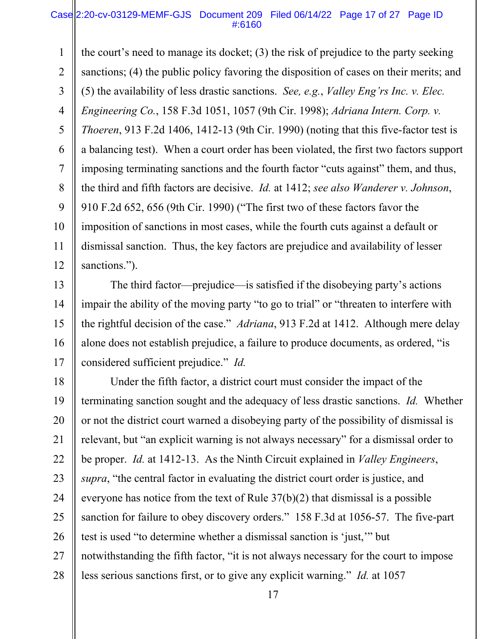#### Case 2:20-cv-03129-MEMF-GJS Document 209 Filed 06/14/22 Page 17 of 27 Page ID #:6160

1 2 3 4 5 6 7 8 9 10 11 12 the court's need to manage its docket; (3) the risk of prejudice to the party seeking sanctions; (4) the public policy favoring the disposition of cases on their merits; and (5) the availability of less drastic sanctions. *See, e.g.*, *Valley Eng'rs Inc. v. Elec. Engineering Co.*, 158 F.3d 1051, 1057 (9th Cir. 1998); *Adriana Intern. Corp. v. Thoeren*, 913 F.2d 1406, 1412-13 (9th Cir. 1990) (noting that this five-factor test is a balancing test). When a court order has been violated, the first two factors support imposing terminating sanctions and the fourth factor "cuts against" them, and thus, the third and fifth factors are decisive. *Id.* at 1412; *see also Wanderer v. Johnson*, 910 F.2d 652, 656 (9th Cir. 1990) ("The first two of these factors favor the imposition of sanctions in most cases, while the fourth cuts against a default or dismissal sanction. Thus, the key factors are prejudice and availability of lesser sanctions.").

13 14 15 16 17 The third factor—prejudice—is satisfied if the disobeying party's actions impair the ability of the moving party "to go to trial" or "threaten to interfere with the rightful decision of the case." *Adriana*, 913 F.2d at 1412. Although mere delay alone does not establish prejudice, a failure to produce documents, as ordered, "is considered sufficient prejudice." *Id.*

18 19 20 21 22 23 24 25 26 27 28 Under the fifth factor, a district court must consider the impact of the terminating sanction sought and the adequacy of less drastic sanctions. *Id.* Whether or not the district court warned a disobeying party of the possibility of dismissal is relevant, but "an explicit warning is not always necessary" for a dismissal order to be proper. *Id.* at 1412-13. As the Ninth Circuit explained in *Valley Engineers*, *supra*, "the central factor in evaluating the district court order is justice, and everyone has notice from the text of Rule 37(b)(2) that dismissal is a possible sanction for failure to obey discovery orders." 158 F.3d at 1056-57. The five-part test is used "to determine whether a dismissal sanction is 'just,'" but notwithstanding the fifth factor, "it is not always necessary for the court to impose less serious sanctions first, or to give any explicit warning." *Id.* at 1057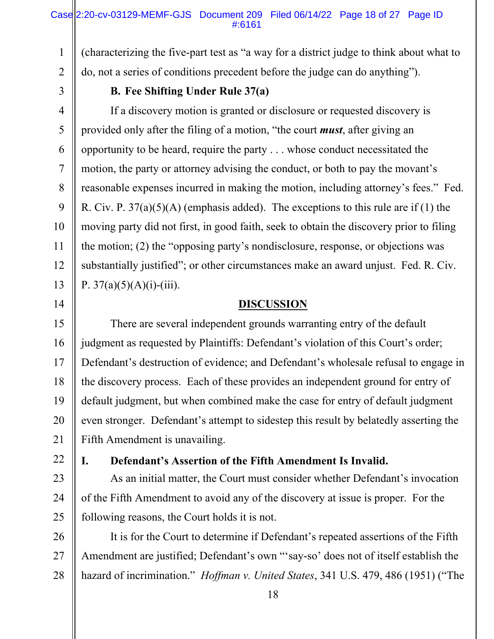## Case 2:20-cv-03129-MEMF-GJS Document 209 Filed 06/14/22 Page 18 of 27 Page ID #:6161

2 (characterizing the five-part test as "a way for a district judge to think about what to do, not a series of conditions precedent before the judge can do anything").

3

4

5

6

7

8

9

10

11

12

13

14

1

## **B. Fee Shifting Under Rule 37(a)**

If a discovery motion is granted or disclosure or requested discovery is provided only after the filing of a motion, "the court *must*, after giving an opportunity to be heard, require the party . . . whose conduct necessitated the motion, the party or attorney advising the conduct, or both to pay the movant's reasonable expenses incurred in making the motion, including attorney's fees." Fed. R. Civ. P.  $37(a)(5)(A)$  (emphasis added). The exceptions to this rule are if (1) the moving party did not first, in good faith, seek to obtain the discovery prior to filing the motion; (2) the "opposing party's nondisclosure, response, or objections was substantially justified"; or other circumstances make an award unjust. Fed. R. Civ. P.  $37(a)(5)(A)(i)$ -(iii).

## **DISCUSSION**

15 16 17 18 19 20 21 There are several independent grounds warranting entry of the default judgment as requested by Plaintiffs: Defendant's violation of this Court's order; Defendant's destruction of evidence; and Defendant's wholesale refusal to engage in the discovery process. Each of these provides an independent ground for entry of default judgment, but when combined make the case for entry of default judgment even stronger. Defendant's attempt to sidestep this result by belatedly asserting the Fifth Amendment is unavailing.

22

## **I. Defendant's Assertion of the Fifth Amendment Is Invalid.**

23 24 25 As an initial matter, the Court must consider whether Defendant's invocation of the Fifth Amendment to avoid any of the discovery at issue is proper. For the following reasons, the Court holds it is not.

26 27 28 It is for the Court to determine if Defendant's repeated assertions of the Fifth Amendment are justified; Defendant's own "'say-so' does not of itself establish the hazard of incrimination." *Hoffman v. United States*, 341 U.S. 479, 486 (1951) ("The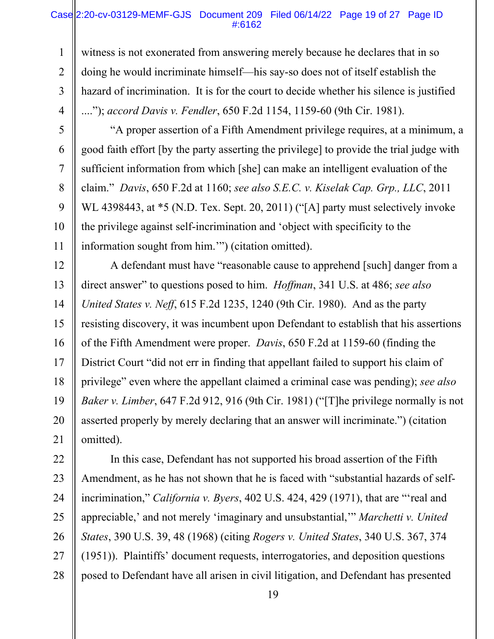#### Case 2:20-cv-03129-MEMF-GJS Document 209 Filed 06/14/22 Page 19 of 27 Page ID #:6162

1 2 3 4 witness is not exonerated from answering merely because he declares that in so doing he would incriminate himself—his say-so does not of itself establish the hazard of incrimination. It is for the court to decide whether his silence is justified ...."); *accord Davis v. Fendler*, 650 F.2d 1154, 1159-60 (9th Cir. 1981).

5

6

7

8

9

10

11

"A proper assertion of a Fifth Amendment privilege requires, at a minimum, a good faith effort [by the party asserting the privilege] to provide the trial judge with sufficient information from which [she] can make an intelligent evaluation of the claim." *Davis*, 650 F.2d at 1160; *see also S.E.C. v. Kiselak Cap. Grp., LLC*, 2011 WL 4398443, at \*5 (N.D. Tex. Sept. 20, 2011) ("[A] party must selectively invoke the privilege against self-incrimination and 'object with specificity to the information sought from him.'") (citation omitted).

12 13 14 15 16 17 18 19 20 21 A defendant must have "reasonable cause to apprehend [such] danger from a direct answer" to questions posed to him. *Hoffman*, 341 U.S. at 486; *see also United States v. Neff*, 615 F.2d 1235, 1240 (9th Cir. 1980). And as the party resisting discovery, it was incumbent upon Defendant to establish that his assertions of the Fifth Amendment were proper. *Davis*, 650 F.2d at 1159-60 (finding the District Court "did not err in finding that appellant failed to support his claim of privilege" even where the appellant claimed a criminal case was pending); *see also Baker v. Limber*, 647 F.2d 912, 916 (9th Cir. 1981) ("[T]he privilege normally is not asserted properly by merely declaring that an answer will incriminate.") (citation omitted).

22 23 24 25 26 27 28 In this case, Defendant has not supported his broad assertion of the Fifth Amendment, as he has not shown that he is faced with "substantial hazards of selfincrimination," *California v. Byers*, 402 U.S. 424, 429 (1971), that are "'real and appreciable,' and not merely 'imaginary and unsubstantial,'" *Marchetti v. United States*, 390 U.S. 39, 48 (1968) (citing *Rogers v. United States*, 340 U.S. 367, 374 (1951)). Plaintiffs' document requests, interrogatories, and deposition questions posed to Defendant have all arisen in civil litigation, and Defendant has presented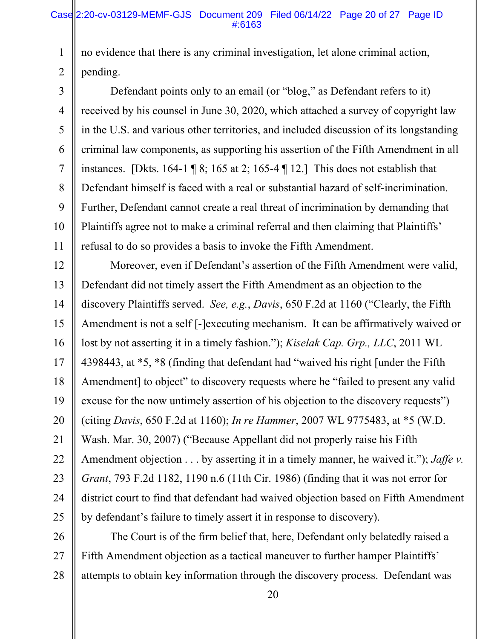1 2 no evidence that there is any criminal investigation, let alone criminal action, pending.

3 4 5 6 7 8 9 10 11 Defendant points only to an email (or "blog," as Defendant refers to it) received by his counsel in June 30, 2020, which attached a survey of copyright law in the U.S. and various other territories, and included discussion of its longstanding criminal law components, as supporting his assertion of the Fifth Amendment in all instances. [Dkts. 164-1 ¶ 8; 165 at 2; 165-4 ¶ 12.] This does not establish that Defendant himself is faced with a real or substantial hazard of self-incrimination. Further, Defendant cannot create a real threat of incrimination by demanding that Plaintiffs agree not to make a criminal referral and then claiming that Plaintiffs' refusal to do so provides a basis to invoke the Fifth Amendment.

12 13 14 15 16 17 18 19 20 21 22 23 24 25 Moreover, even if Defendant's assertion of the Fifth Amendment were valid, Defendant did not timely assert the Fifth Amendment as an objection to the discovery Plaintiffs served. *See, e.g.*, *Davis*, 650 F.2d at 1160 ("Clearly, the Fifth Amendment is not a self [-]executing mechanism. It can be affirmatively waived or lost by not asserting it in a timely fashion."); *Kiselak Cap. Grp., LLC*, 2011 WL 4398443, at \*5, \*8 (finding that defendant had "waived his right [under the Fifth Amendment] to object" to discovery requests where he "failed to present any valid excuse for the now untimely assertion of his objection to the discovery requests") (citing *Davis*, 650 F.2d at 1160); *In re Hammer*, 2007 WL 9775483, at \*5 (W.D. Wash. Mar. 30, 2007) ("Because Appellant did not properly raise his Fifth Amendment objection . . . by asserting it in a timely manner, he waived it."); *Jaffe v. Grant*, 793 F.2d 1182, 1190 n.6 (11th Cir. 1986) (finding that it was not error for district court to find that defendant had waived objection based on Fifth Amendment by defendant's failure to timely assert it in response to discovery).

26 27 28 The Court is of the firm belief that, here, Defendant only belatedly raised a Fifth Amendment objection as a tactical maneuver to further hamper Plaintiffs' attempts to obtain key information through the discovery process. Defendant was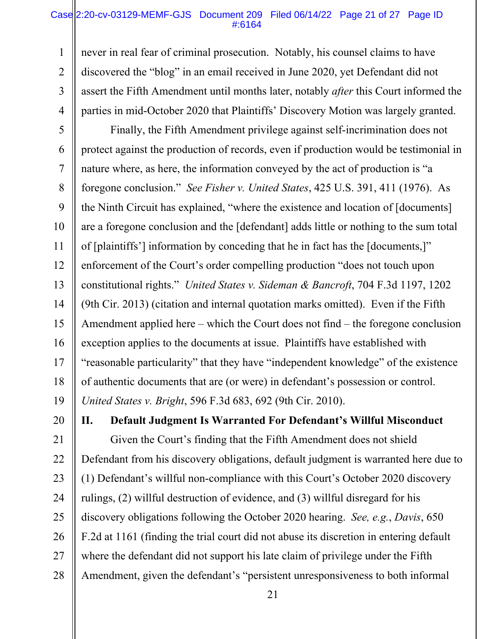### Case 2:20-cv-03129-MEMF-GJS Document 209 Filed 06/14/22 Page 21 of 27 Page ID #:6164

1 2 3 4 never in real fear of criminal prosecution. Notably, his counsel claims to have discovered the "blog" in an email received in June 2020, yet Defendant did not assert the Fifth Amendment until months later, notably *after* this Court informed the parties in mid-October 2020 that Plaintiffs' Discovery Motion was largely granted.

5 6 7 8 9 10 11 12 13 14 15 16 17 18 19 Finally, the Fifth Amendment privilege against self-incrimination does not protect against the production of records, even if production would be testimonial in nature where, as here, the information conveyed by the act of production is "a foregone conclusion." *See Fisher v. United States*, 425 U.S. 391, 411 (1976). As the Ninth Circuit has explained, "where the existence and location of [documents] are a foregone conclusion and the [defendant] adds little or nothing to the sum total of [plaintiffs'] information by conceding that he in fact has the [documents,]" enforcement of the Court's order compelling production "does not touch upon constitutional rights." *United States v. Sideman & Bancroft*, 704 F.3d 1197, 1202 (9th Cir. 2013) (citation and internal quotation marks omitted). Even if the Fifth Amendment applied here – which the Court does not find – the foregone conclusion exception applies to the documents at issue. Plaintiffs have established with "reasonable particularity" that they have "independent knowledge" of the existence of authentic documents that are (or were) in defendant's possession or control. *United States v. Bright*, 596 F.3d 683, 692 (9th Cir. 2010).

20

21 22 23 24 25 26 27 28 **II. Default Judgment Is Warranted For Defendant's Willful Misconduct**  Given the Court's finding that the Fifth Amendment does not shield Defendant from his discovery obligations, default judgment is warranted here due to (1) Defendant's willful non-compliance with this Court's October 2020 discovery rulings, (2) willful destruction of evidence, and (3) willful disregard for his discovery obligations following the October 2020 hearing. *See, e.g.*, *Davis*, 650 F.2d at 1161 (finding the trial court did not abuse its discretion in entering default where the defendant did not support his late claim of privilege under the Fifth Amendment, given the defendant's "persistent unresponsiveness to both informal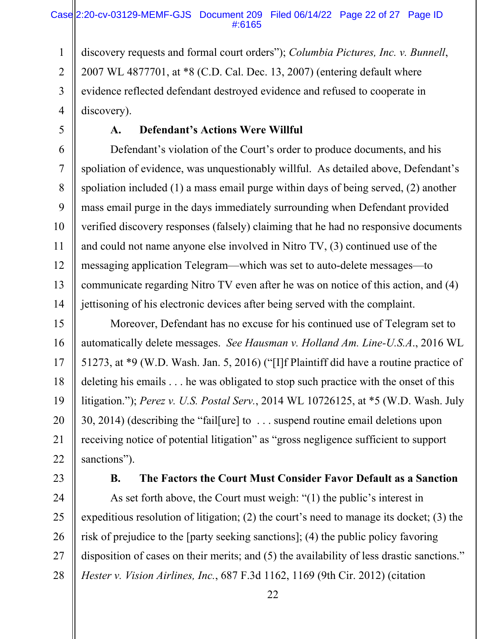## Case 2:20-cv-03129-MEMF-GJS Document 209 Filed 06/14/22 Page 22 of 27 Page ID #:6165

1 2 3 4 discovery requests and formal court orders"); *Columbia Pictures, Inc. v. Bunnell*, 2007 WL 4877701, at \*8 (C.D. Cal. Dec. 13, 2007) (entering default where evidence reflected defendant destroyed evidence and refused to cooperate in discovery).

5

## **A. Defendant's Actions Were Willful**

6 7 8 9 10 11 12 13 14 Defendant's violation of the Court's order to produce documents, and his spoliation of evidence, was unquestionably willful. As detailed above, Defendant's spoliation included (1) a mass email purge within days of being served, (2) another mass email purge in the days immediately surrounding when Defendant provided verified discovery responses (falsely) claiming that he had no responsive documents and could not name anyone else involved in Nitro TV, (3) continued use of the messaging application Telegram—which was set to auto-delete messages—to communicate regarding Nitro TV even after he was on notice of this action, and (4) jettisoning of his electronic devices after being served with the complaint.

15 16 17 18 19 20 21 22 Moreover, Defendant has no excuse for his continued use of Telegram set to automatically delete messages. *See Hausman v. Holland Am. Line-U.S.A*., 2016 WL 51273, at \*9 (W.D. Wash. Jan. 5, 2016) ("[I]f Plaintiff did have a routine practice of deleting his emails . . . he was obligated to stop such practice with the onset of this litigation."); *Perez v. U.S. Postal Serv.*, 2014 WL 10726125, at \*5 (W.D. Wash. July 30, 2014) (describing the "fail[ure] to . . . suspend routine email deletions upon receiving notice of potential litigation" as "gross negligence sufficient to support sanctions").

23

## **B. The Factors the Court Must Consider Favor Default as a Sanction**

24 25 26 27 28 As set forth above, the Court must weigh: "(1) the public's interest in expeditious resolution of litigation; (2) the court's need to manage its docket; (3) the risk of prejudice to the [party seeking sanctions]; (4) the public policy favoring disposition of cases on their merits; and (5) the availability of less drastic sanctions." *Hester v. Vision Airlines, Inc.*, 687 F.3d 1162, 1169 (9th Cir. 2012) (citation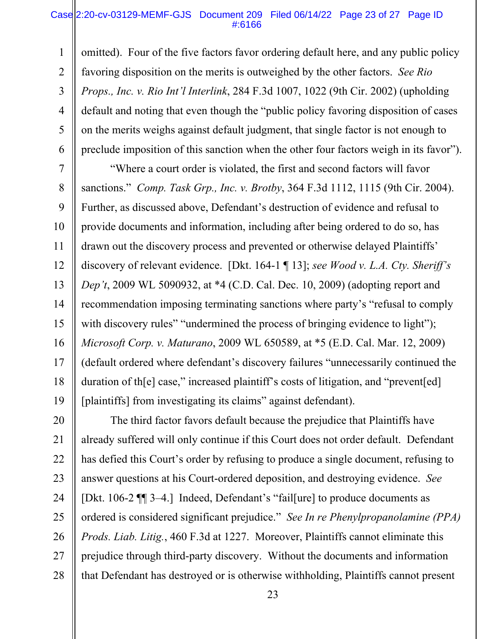#### Case 2:20-cv-03129-MEMF-GJS Document 209 Filed 06/14/22 Page 23 of 27 Page ID #:6166

1 2 3 4 5 6 omitted). Four of the five factors favor ordering default here, and any public policy favoring disposition on the merits is outweighed by the other factors. *See Rio Props., Inc. v. Rio Int'l Interlink*, 284 F.3d 1007, 1022 (9th Cir. 2002) (upholding default and noting that even though the "public policy favoring disposition of cases on the merits weighs against default judgment, that single factor is not enough to preclude imposition of this sanction when the other four factors weigh in its favor").

7 8 9 10 11 12 13 14 15 16 17 18 19 "Where a court order is violated, the first and second factors will favor sanctions." *Comp. Task Grp., Inc. v. Brotby*, 364 F.3d 1112, 1115 (9th Cir. 2004). Further, as discussed above, Defendant's destruction of evidence and refusal to provide documents and information, including after being ordered to do so, has drawn out the discovery process and prevented or otherwise delayed Plaintiffs' discovery of relevant evidence. [Dkt. 164-1 ¶ 13]; *see Wood v. L.A. Cty. Sheriff's Dep't*, 2009 WL 5090932, at \*4 (C.D. Cal. Dec. 10, 2009) (adopting report and recommendation imposing terminating sanctions where party's "refusal to comply with discovery rules" "undermined the process of bringing evidence to light"); *Microsoft Corp. v. Maturano*, 2009 WL 650589, at \*5 (E.D. Cal. Mar. 12, 2009) (default ordered where defendant's discovery failures "unnecessarily continued the duration of th[e] case," increased plaintiff's costs of litigation, and "prevent[ed] [plaintiffs] from investigating its claims" against defendant).

20 21 22 23 24 25 26 27 28 The third factor favors default because the prejudice that Plaintiffs have already suffered will only continue if this Court does not order default. Defendant has defied this Court's order by refusing to produce a single document, refusing to answer questions at his Court-ordered deposition, and destroying evidence. *See*  [Dkt. 106-2 ¶¶ 3–4.] Indeed, Defendant's "fail[ure] to produce documents as ordered is considered significant prejudice." *See In re Phenylpropanolamine (PPA) Prods. Liab. Litig.*, 460 F.3d at 1227. Moreover, Plaintiffs cannot eliminate this prejudice through third-party discovery. Without the documents and information that Defendant has destroyed or is otherwise withholding, Plaintiffs cannot present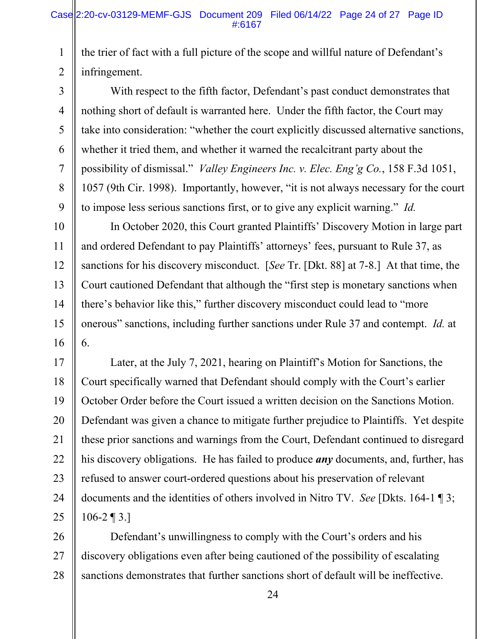1 2 the trier of fact with a full picture of the scope and willful nature of Defendant's infringement.

3 4 5 6 7 8 9 With respect to the fifth factor, Defendant's past conduct demonstrates that nothing short of default is warranted here. Under the fifth factor, the Court may take into consideration: "whether the court explicitly discussed alternative sanctions, whether it tried them, and whether it warned the recalcitrant party about the possibility of dismissal." *Valley Engineers Inc. v. Elec. Eng'g Co.*, 158 F.3d 1051, 1057 (9th Cir. 1998). Importantly, however, "it is not always necessary for the court to impose less serious sanctions first, or to give any explicit warning." *Id.* 

10 11 12 13 14 15 16 In October 2020, this Court granted Plaintiffs' Discovery Motion in large part and ordered Defendant to pay Plaintiffs' attorneys' fees, pursuant to Rule 37, as sanctions for his discovery misconduct. [*See* Tr. [Dkt. 88] at 7-8.] At that time, the Court cautioned Defendant that although the "first step is monetary sanctions when there's behavior like this," further discovery misconduct could lead to "more onerous" sanctions, including further sanctions under Rule 37 and contempt. *Id.* at 6.

17 18 19 20 21 22 23 24 25 Later, at the July 7, 2021, hearing on Plaintiff's Motion for Sanctions, the Court specifically warned that Defendant should comply with the Court's earlier October Order before the Court issued a written decision on the Sanctions Motion. Defendant was given a chance to mitigate further prejudice to Plaintiffs. Yet despite these prior sanctions and warnings from the Court, Defendant continued to disregard his discovery obligations. He has failed to produce *any* documents, and, further, has refused to answer court-ordered questions about his preservation of relevant documents and the identities of others involved in Nitro TV. *See* [Dkts. 164-1 ¶ 3;  $106 - 2 \text{ } \text{T} 3.1$ 

26 27 28 Defendant's unwillingness to comply with the Court's orders and his discovery obligations even after being cautioned of the possibility of escalating sanctions demonstrates that further sanctions short of default will be ineffective.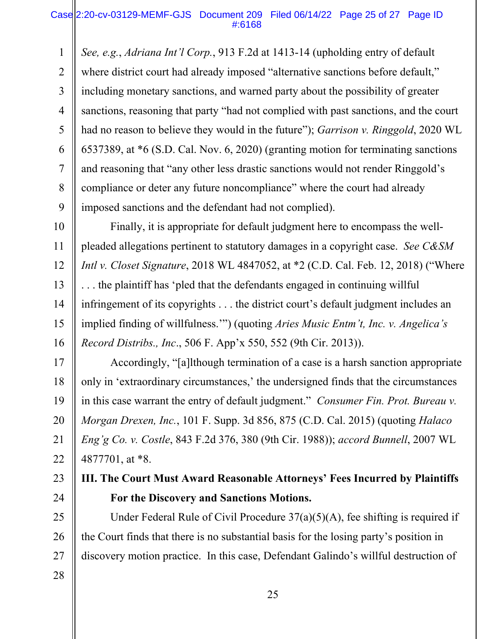1 2 3 4 5 6 7 8 9 *See, e.g.*, *Adriana Int'l Corp.*, 913 F.2d at 1413-14 (upholding entry of default where district court had already imposed "alternative sanctions before default," including monetary sanctions, and warned party about the possibility of greater sanctions, reasoning that party "had not complied with past sanctions, and the court had no reason to believe they would in the future"); *Garrison v. Ringgold*, 2020 WL 6537389, at \*6 (S.D. Cal. Nov. 6, 2020) (granting motion for terminating sanctions and reasoning that "any other less drastic sanctions would not render Ringgold's compliance or deter any future noncompliance" where the court had already imposed sanctions and the defendant had not complied).

10 11 12 13 14 15 16 Finally, it is appropriate for default judgment here to encompass the wellpleaded allegations pertinent to statutory damages in a copyright case. *See C&SM Intl v. Closet Signature*, 2018 WL 4847052, at \*2 (C.D. Cal. Feb. 12, 2018) ("Where . . . the plaintiff has 'pled that the defendants engaged in continuing willful infringement of its copyrights . . . the district court's default judgment includes an implied finding of willfulness.'") (quoting *Aries Music Entm't, Inc. v. Angelica's Record Distribs., Inc*., 506 F. App'x 550, 552 (9th Cir. 2013)).

17 18 19 20 21 22 Accordingly, "[a]lthough termination of a case is a harsh sanction appropriate only in 'extraordinary circumstances,' the undersigned finds that the circumstances in this case warrant the entry of default judgment." *Consumer Fin. Prot. Bureau v. Morgan Drexen, Inc.*, 101 F. Supp. 3d 856, 875 (C.D. Cal. 2015) (quoting *Halaco Eng'g Co. v. Costle*, 843 F.2d 376, 380 (9th Cir. 1988)); *accord Bunnell*, 2007 WL 4877701, at \*8.

23 24 **III. The Court Must Award Reasonable Attorneys' Fees Incurred by Plaintiffs For the Discovery and Sanctions Motions.** 

25 26 27 28 Under Federal Rule of Civil Procedure  $37(a)(5)(A)$ , fee shifting is required if the Court finds that there is no substantial basis for the losing party's position in discovery motion practice. In this case, Defendant Galindo's willful destruction of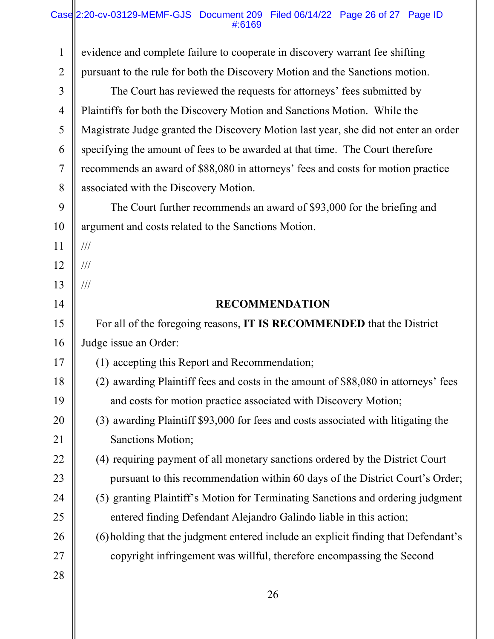## Case||2:20-cv-03129-MEMF-GJS Document 209 Filed 06/14/22 Page 26 of 27 Page ID #:6169

| $\mathbf{1}$   | evidence and complete failure to cooperate in discovery warrant fee shifting        |
|----------------|-------------------------------------------------------------------------------------|
| $\overline{2}$ | pursuant to the rule for both the Discovery Motion and the Sanctions motion.        |
| $\mathfrak{Z}$ | The Court has reviewed the requests for attorneys' fees submitted by                |
| 4              | Plaintiffs for both the Discovery Motion and Sanctions Motion. While the            |
| 5              | Magistrate Judge granted the Discovery Motion last year, she did not enter an order |
| 6              | specifying the amount of fees to be awarded at that time. The Court therefore       |
| 7              | recommends an award of \$88,080 in attorneys' fees and costs for motion practice    |
| $8\,$          | associated with the Discovery Motion.                                               |
| 9              | The Court further recommends an award of \$93,000 for the briefing and              |
| 10             | argument and costs related to the Sanctions Motion.                                 |
| 11             | $\frac{1}{1}$                                                                       |
| 12             | $\frac{1}{1}$                                                                       |
| 13             | $\frac{1}{1}$                                                                       |
| 14             | <b>RECOMMENDATION</b>                                                               |
|                |                                                                                     |
| 15             | For all of the foregoing reasons, IT IS RECOMMENDED that the District               |
| 16             | Judge issue an Order:                                                               |
| 17             | (1) accepting this Report and Recommendation;                                       |
| 18             | (2) awarding Plaintiff fees and costs in the amount of \$88,080 in attorneys' fees  |
| 19             | and costs for motion practice associated with Discovery Motion;                     |
| 20             | (3) awarding Plaintiff \$93,000 for fees and costs associated with litigating the   |
| 21             | Sanctions Motion;                                                                   |
| 22             | (4) requiring payment of all monetary sanctions ordered by the District Court       |
| 23             | pursuant to this recommendation within 60 days of the District Court's Order;       |
| 24             | (5) granting Plaintiff's Motion for Terminating Sanctions and ordering judgment     |
| 25             | entered finding Defendant Alejandro Galindo liable in this action;                  |
| 26             | (6) holding that the judgment entered include an explicit finding that Defendant's  |
| 27             | copyright infringement was willful, therefore encompassing the Second               |
| 28             |                                                                                     |